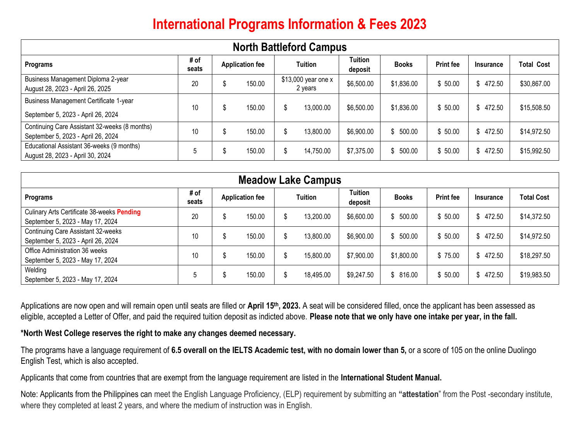# **International Programs Information & Fees 2023**

| <b>North Battleford Campus</b>                                                      |               |                        |        |                                |           |                           |              |                  |               |                   |  |  |
|-------------------------------------------------------------------------------------|---------------|------------------------|--------|--------------------------------|-----------|---------------------------|--------------|------------------|---------------|-------------------|--|--|
| Programs                                                                            | # of<br>seats | <b>Application fee</b> |        | Tuition                        |           | <b>Tuition</b><br>deposit | <b>Books</b> | <b>Print fee</b> | Insurance     | <b>Total Cost</b> |  |  |
| Business Management Diploma 2-year<br>August 28, 2023 - April 26, 2025              | 20            | C                      | 150.00 | \$13,000 year one x<br>2 years |           | \$6,500.00                | \$1,836.00   | \$50.00          | 472.50<br>S   | \$30,867.00       |  |  |
| <b>Business Management Certificate 1-year</b><br>September 5, 2023 - April 26, 2024 | 10            | C                      | 150.00 | \$                             | 13,000.00 | \$6,500.00                | \$1,836.00   | \$50.00          | 472.50<br>S.  | \$15,508.50       |  |  |
| Continuing Care Assistant 32-weeks (8 months)<br>September 5, 2023 - April 26, 2024 | 10            | Ъ                      | 150.00 |                                | 13,800.00 | \$6,900.00                | \$500.00     | \$50.00          | 472.50<br>\$. | \$14,972.50       |  |  |
| Educational Assistant 36-weeks (9 months)<br>August 28, 2023 - April 30, 2024       | 5             | æ                      | 150.00 | \$                             | 14,750.00 | \$7,375.00                | \$500.00     | \$50.00          | 472.50<br>S.  | \$15,992.50       |  |  |

| <b>Meadow Lake Campus</b>                  |               |                        |        |                |           |                           |              |                  |               |                   |  |
|--------------------------------------------|---------------|------------------------|--------|----------------|-----------|---------------------------|--------------|------------------|---------------|-------------------|--|
| Programs                                   | # of<br>seats | <b>Application fee</b> |        | <b>Tuition</b> |           | <b>Tuition</b><br>deposit | <b>Books</b> | <b>Print fee</b> | Insurance     | <b>Total Cost</b> |  |
| Culinary Arts Certificate 38-weeks Pending | 20            | S                      | 150.00 |                | 13,200.00 | \$6,600.00                | \$500.00     | \$50.00          | 472.50<br>\$. | \$14,372.50       |  |
| September 5, 2023 - May 17, 2024           |               |                        |        |                |           |                           |              |                  |               |                   |  |
| Continuing Care Assistant 32-weeks         | 10            | S                      | 150.00 |                | 13,800.00 | \$6,900.00                | \$500.00     | \$50.00          | 472.50<br>\$. | \$14,972.50       |  |
| September 5, 2023 - April 26, 2024         |               |                        |        |                |           |                           |              |                  |               |                   |  |
| Office Administration 36 weeks             | 10            | S                      | 150.00 |                | 15,800.00 | \$7,900.00                | \$1,800.00   | \$75.00          | 472.50<br>\$  | \$18,297.50       |  |
| September 5, 2023 - May 17, 2024           |               |                        |        |                |           |                           |              |                  |               |                   |  |
| Welding                                    | h             | ъĐ                     | 150.00 |                | 18,495.00 | \$9,247.50                | \$816.00     | \$50.00          | 472.50<br>\$. | \$19,983.50       |  |
| September 5, 2023 - May 17, 2024           |               |                        |        |                |           |                           |              |                  |               |                   |  |

Applications are now open and will remain open until seats are filled or **April 15th, 2023.** A seat will be considered filled, once the applicant has been assessed as eligible, accepted a Letter of Offer, and paid the required tuition deposit as indicted above. **Please note that we only have one intake per year, in the fall.** 

### **\*North West College reserves the right to make any changes deemed necessary.**

The programs have a language requirement of **6.5 overall on the IELTS Academic test, with no domain lower than 5,** or a score of 105 on the online Duolingo English Test, which is also accepted.

Applicants that come from countries that are exempt from the language requirement are listed in the **International Student Manual.**

Note: Applicants from the Philippines can meet the English Language Proficiency, (ELP) requirement by submitting an **"attestation**" from the Post -secondary institute, where they completed at least 2 years, and where the medium of instruction was in English.